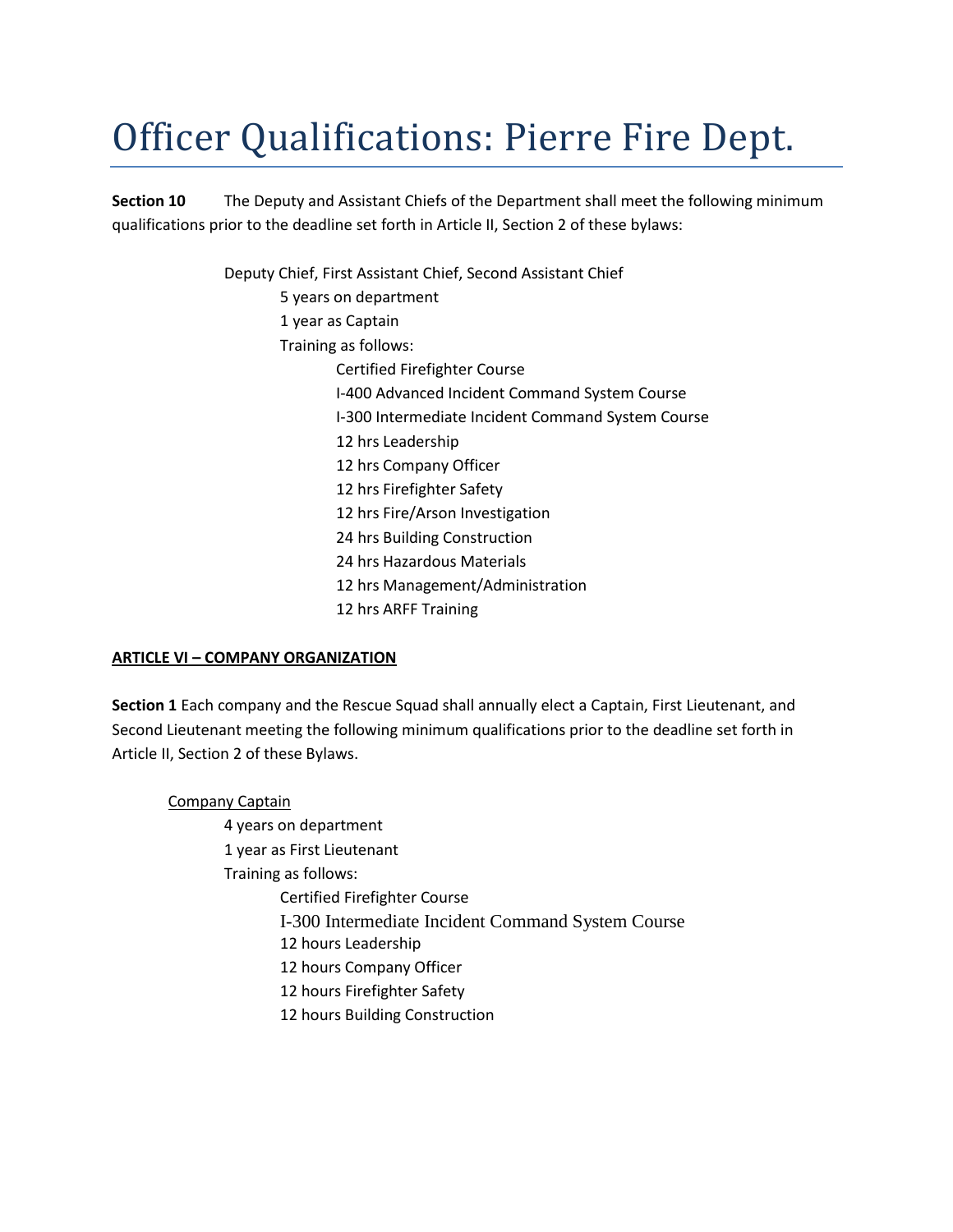## Officer Qualifications: Pierre Fire Dept.

**Section 10** The Deputy and Assistant Chiefs of the Department shall meet the following minimum qualifications prior to the deadline set forth in Article II, Section 2 of these bylaws:

> Deputy Chief, First Assistant Chief, Second Assistant Chief 5 years on department 1 year as Captain Training as follows: Certified Firefighter Course I-400 Advanced Incident Command System Course I-300 Intermediate Incident Command System Course 12 hrs Leadership 12 hrs Company Officer 12 hrs Firefighter Safety 12 hrs Fire/Arson Investigation 24 hrs Building Construction 24 hrs Hazardous Materials 12 hrs Management/Administration 12 hrs ARFF Training

## **ARTICLE VI – COMPANY ORGANIZATION**

**Section 1** Each company and the Rescue Squad shall annually elect a Captain, First Lieutenant, and Second Lieutenant meeting the following minimum qualifications prior to the deadline set forth in Article II, Section 2 of these Bylaws.

Company Captain 4 years on department 1 year as First Lieutenant Training as follows: Certified Firefighter Course I-300 Intermediate Incident Command System Course 12 hours Leadership 12 hours Company Officer 12 hours Firefighter Safety 12 hours Building Construction